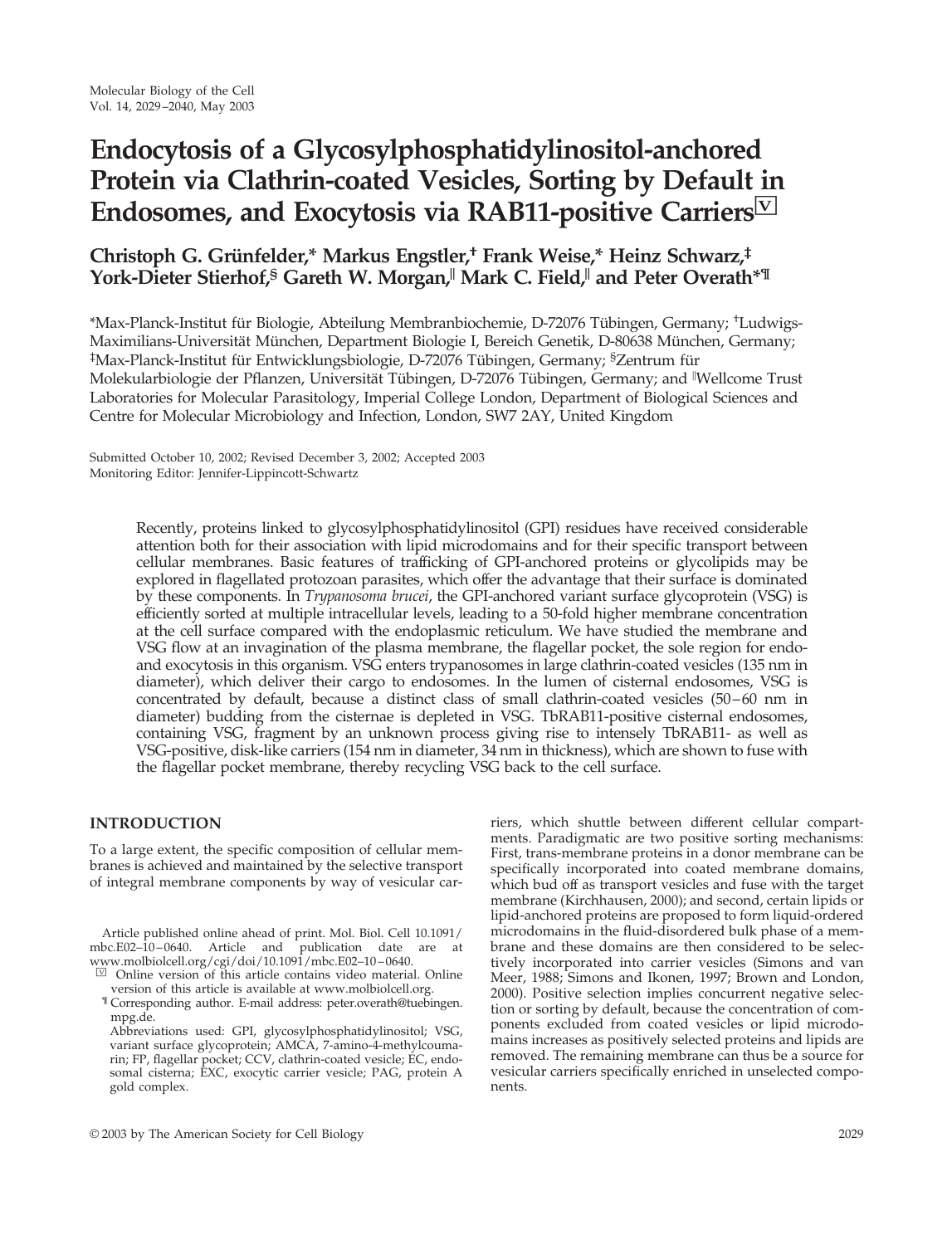# **Endocytosis of a Glycosylphosphatidylinositol-anchored Protein via Clathrin-coated Vesicles, Sorting by Default in Endosomes, and Exocytosis via RAB11-positive CarriersⅣ**

# **Christoph G. Gru¨nfelder,\* Markus Engstler,† Frank Weise,\* Heinz Schwarz,‡**  $Y$ ork-Dieter Stierhof,<sup>§</sup> Gareth W. Morgan,<sup>||</sup> Mark C. Field,<sup>||</sup> and Peter Overath<sup>\*</sup><sup>¶</sup>

\*Max-Planck-Institut für Biologie, Abteilung Membranbiochemie, D-72076 Tübingen, Germany; <sup>†</sup>Ludwigs-Maximilians-Universität München, Department Biologie I, Bereich Genetik, D-80638 München, Germany; ‡Max-Planck-Institut für Entwicklungsbiologie, D-72076 Tübingen, Germany; <sup>§</sup>Zentrum für Molekularbiologie der Pflanzen, Universität Tübingen, D-72076 Tübingen, Germany; and <sup>||</sup>Wellcome Trust Laboratories for Molecular Parasitology, Imperial College London, Department of Biological Sciences and Centre for Molecular Microbiology and Infection, London, SW7 2AY, United Kingdom

Submitted October 10, 2002; Revised December 3, 2002; Accepted 2003 Monitoring Editor: Jennifer-Lippincott-Schwartz

> Recently, proteins linked to glycosylphosphatidylinositol (GPI) residues have received considerable attention both for their association with lipid microdomains and for their specific transport between cellular membranes. Basic features of trafficking of GPI-anchored proteins or glycolipids may be explored in flagellated protozoan parasites, which offer the advantage that their surface is dominated by these components. In *Trypanosoma brucei*, the GPI-anchored variant surface glycoprotein (VSG) is efficiently sorted at multiple intracellular levels, leading to a 50-fold higher membrane concentration at the cell surface compared with the endoplasmic reticulum. We have studied the membrane and VSG flow at an invagination of the plasma membrane, the flagellar pocket, the sole region for endoand exocytosis in this organism. VSG enters trypanosomes in large clathrin-coated vesicles (135 nm in diameter), which deliver their cargo to endosomes. In the lumen of cisternal endosomes, VSG is concentrated by default, because a distinct class of small clathrin-coated vesicles (50–60 nm in diameter) budding from the cisternae is depleted in VSG. TbRAB11-positive cisternal endosomes, containing VSG, fragment by an unknown process giving rise to intensely TbRAB11- as well as VSG-positive, disk-like carriers (154 nm in diameter, 34 nm in thickness), which are shown to fuse with the flagellar pocket membrane, thereby recycling VSG back to the cell surface.

# **INTRODUCTION**

To a large extent, the specific composition of cellular membranes is achieved and maintained by the selective transport of integral membrane components by way of vesicular car-

Article published online ahead of print. Mol. Biol. Cell 10.1091/ mbc.E02–10–0640. Article and publication date are at www.molbiolcell.org/cgi/doi/10.1091/mbc.E02–10–0640.

- $\boxdot$  Online version of this article contains video material. Online version of this article is available at www.molbiolcell.org.
- ¶ Corresponding author. E-mail address: peter.overath@tuebingen. mpg.de.

Abbreviations used: GPI, glycosylphosphatidylinositol; VSG, variant surface glycoprotein; AMCA, 7-amino-4-methylcoumarin; FP, flagellar pocket; CCV, clathrin-coated vesicle; EC, endosomal cisterna; EXC, exocytic carrier vesicle; PAG, protein A gold complex.

riers, which shuttle between different cellular compartments. Paradigmatic are two positive sorting mechanisms: First, trans-membrane proteins in a donor membrane can be specifically incorporated into coated membrane domains, which bud off as transport vesicles and fuse with the target membrane (Kirchhausen, 2000); and second, certain lipids or lipid-anchored proteins are proposed to form liquid-ordered microdomains in the fluid-disordered bulk phase of a membrane and these domains are then considered to be selectively incorporated into carrier vesicles (Simons and van Meer, 1988; Simons and Ikonen, 1997; Brown and London, 2000). Positive selection implies concurrent negative selection or sorting by default, because the concentration of components excluded from coated vesicles or lipid microdomains increases as positively selected proteins and lipids are removed. The remaining membrane can thus be a source for vesicular carriers specifically enriched in unselected components.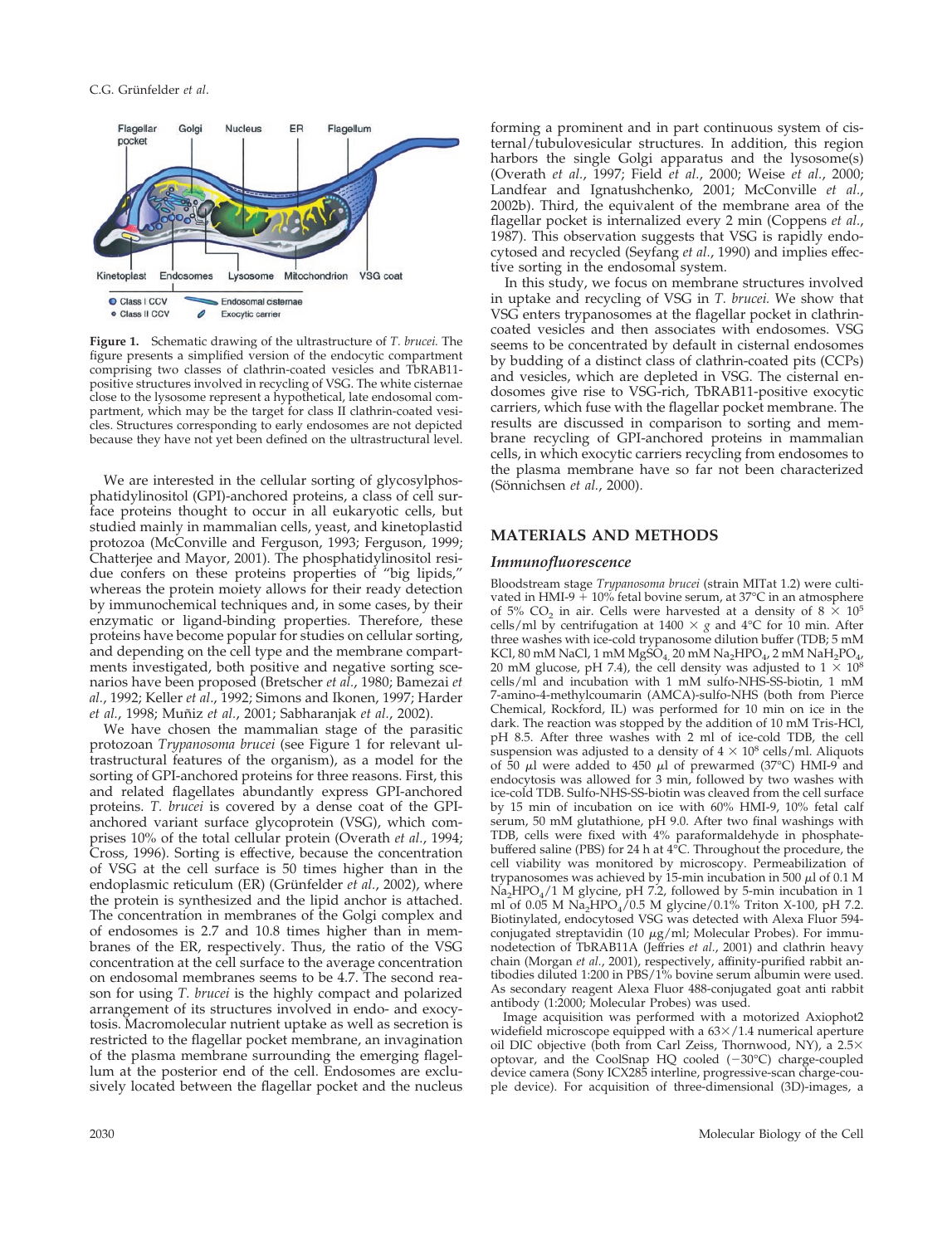

**Figure 1.** Schematic drawing of the ultrastructure of *T. brucei.* The figure presents a simplified version of the endocytic compartment comprising two classes of clathrin-coated vesicles and TbRAB11 positive structures involved in recycling of VSG. The white cisternae close to the lysosome represent a hypothetical, late endosomal compartment, which may be the target for class II clathrin-coated vesicles. Structures corresponding to early endosomes are not depicted because they have not yet been defined on the ultrastructural level.

We are interested in the cellular sorting of glycosylphosphatidylinositol (GPI)-anchored proteins, a class of cell surface proteins thought to occur in all eukaryotic cells, but studied mainly in mammalian cells, yeast, and kinetoplastid protozoa (McConville and Ferguson, 1993; Ferguson, 1999; Chatterjee and Mayor, 2001). The phosphatidylinositol residue confers on these proteins properties of "big lipids," whereas the protein moiety allows for their ready detection by immunochemical techniques and, in some cases, by their enzymatic or ligand-binding properties. Therefore, these proteins have become popular for studies on cellular sorting, and depending on the cell type and the membrane compartments investigated, both positive and negative sorting scenarios have been proposed (Bretscher *et al.*, 1980; Bamezai *et al.*, 1992; Keller *et al*., 1992; Simons and Ikonen, 1997; Harder *et al.*, 1998; Mun˜iz *et al.*, 2001; Sabharanjak *et al.*, 2002).

We have chosen the mammalian stage of the parasitic protozoan *Trypanosoma brucei* (see Figure 1 for relevant ultrastructural features of the organism), as a model for the sorting of GPI-anchored proteins for three reasons. First, this and related flagellates abundantly express GPI-anchored proteins. *T. brucei* is covered by a dense coat of the GPIanchored variant surface glycoprotein (VSG), which comprises 10% of the total cellular protein (Overath *et al.*, 1994; Cross, 1996). Sorting is effective, because the concentration of VSG at the cell surface is 50 times higher than in the endoplasmic reticulum (ER) (Grünfelder et al., 2002), where the protein is synthesized and the lipid anchor is attached. The concentration in membranes of the Golgi complex and of endosomes is 2.7 and 10.8 times higher than in membranes of the ER, respectively. Thus, the ratio of the VSG concentration at the cell surface to the average concentration on endosomal membranes seems to be 4.7. The second reason for using *T. brucei* is the highly compact and polarized arrangement of its structures involved in endo- and exocytosis. Macromolecular nutrient uptake as well as secretion is restricted to the flagellar pocket membrane, an invagination of the plasma membrane surrounding the emerging flagellum at the posterior end of the cell. Endosomes are exclusively located between the flagellar pocket and the nucleus

forming a prominent and in part continuous system of cisternal/tubulovesicular structures. In addition, this region harbors the single Golgi apparatus and the lysosome(s) (Overath *et al.*, 1997; Field *et al.*, 2000; Weise *et al.*, 2000; Landfear and Ignatushchenko, 2001; McConville *et al.*, 2002b). Third, the equivalent of the membrane area of the flagellar pocket is internalized every 2 min (Coppens *et al.*, 1987). This observation suggests that VSG is rapidly endocytosed and recycled (Seyfang *et al.*, 1990) and implies effective sorting in the endosomal system.

In this study, we focus on membrane structures involved in uptake and recycling of VSG in *T. brucei.* We show that VSG enters trypanosomes at the flagellar pocket in clathrincoated vesicles and then associates with endosomes. VSG seems to be concentrated by default in cisternal endosomes by budding of a distinct class of clathrin-coated pits (CCPs) and vesicles, which are depleted in VSG. The cisternal endosomes give rise to VSG-rich, TbRAB11-positive exocytic carriers, which fuse with the flagellar pocket membrane. The results are discussed in comparison to sorting and membrane recycling of GPI-anchored proteins in mammalian cells, in which exocytic carriers recycling from endosomes to the plasma membrane have so far not been characterized (Sönnichsen *et al.*, 2000).

#### **MATERIALS AND METHODS**

#### *Immunofluorescence*

Bloodstream stage *Trypanosoma brucei* (strain MITat 1.2) were cultivated in HMI-9  $+$  10% fetal bovine serum, at 37°C in an atmosphere of 5% CO<sub>2</sub> in air. Cells were harvested at a density of  $8 \times 10^5$ cells/ml by centrifugation at  $1400 \times g$  and  $4^{\circ}$ C for 10 min. After three washes with ice-cold trypanosome dilution buffer (TDB; 5 mM KCl, 80 mM NaCl, 1 mM  $MgSO_4$ , 20 mM Na<sub>2</sub>HPO<sub>4</sub>, 2 mM NaH<sub>2</sub>PO<sub>4</sub>, 20 mM glucose, pH 7.4), the cell density was adjusted to  $1 \times 10^8$ cells/ml and incubation with 1 mM sulfo-NHS-SS-biotin, 1 mM 7-amino-4-methylcoumarin (AMCA)-sulfo-NHS (both from Pierce Chemical, Rockford, IL) was performed for 10 min on ice in the dark. The reaction was stopped by the addition of 10 mM Tris-HCl, pH 8.5. After three washes with 2 ml of ice-cold TDB, the cell suspension was adjusted to a density of  $4 \times 10^8$  cells/ml. Aliquots of  $\overline{50}$   $\mu$ l were added to 450  $\mu$ l of prewarmed (37°C) HMI-9 and endocytosis was allowed for 3 min, followed by two washes with ice-cold TDB. Sulfo-NHS-SS-biotin was cleaved from the cell surface by 15 min of incubation on ice with 60% HMI-9, 10% fetal calf serum, 50 mM glutathione, pH 9.0. After two final washings with TDB, cells were fixed with 4% paraformaldehyde in phosphatebuffered saline (PBS) for 24 h at 4°C. Throughout the procedure, the cell viability was monitored by microscopy. Permeabilization of trypanosomes was achieved by 15-min incubation in 500  $\mu$ l of 0.1 M  $\text{Na}_2\text{HPO}_4/1$  M glycine, pH 7.2, followed by 5-min incubation in 1 ml of 0.05 M  $\text{Na}_2\text{HPO}_4/0.5$  M glycine/0.1% Triton X-100, pH 7.2. Biotinylated, endocytosed VSG was detected with Alexa Fluor 594conjugated streptavidin (10  $\mu$ g/ml; Molecular Probes). For immunodetection of TbRAB11A (Jeffries *et al.*, 2001) and clathrin heavy chain (Morgan *et al.*, 2001), respectively, affinity-purified rabbit antibodies diluted 1:200 in PBS/1% bovine serum albumin were used. As secondary reagent Alexa Fluor 488-conjugated goat anti rabbit antibody (1:2000; Molecular Probes) was used.

Image acquisition was performed with a motorized Axiophot2 widefield microscope equipped with a  $63\times/1.4$  numerical aperture oil DIC objective (both from Carl Zeiss, Thornwood, NY), a  $2.5\times$ optovar, and the CoolSnap HQ cooled  $(-30^{\circ}C)$  charge-coupled device camera (Sony ICX285 interline, progressive-scan charge-couple device). For acquisition of three-dimensional (3D)-images, a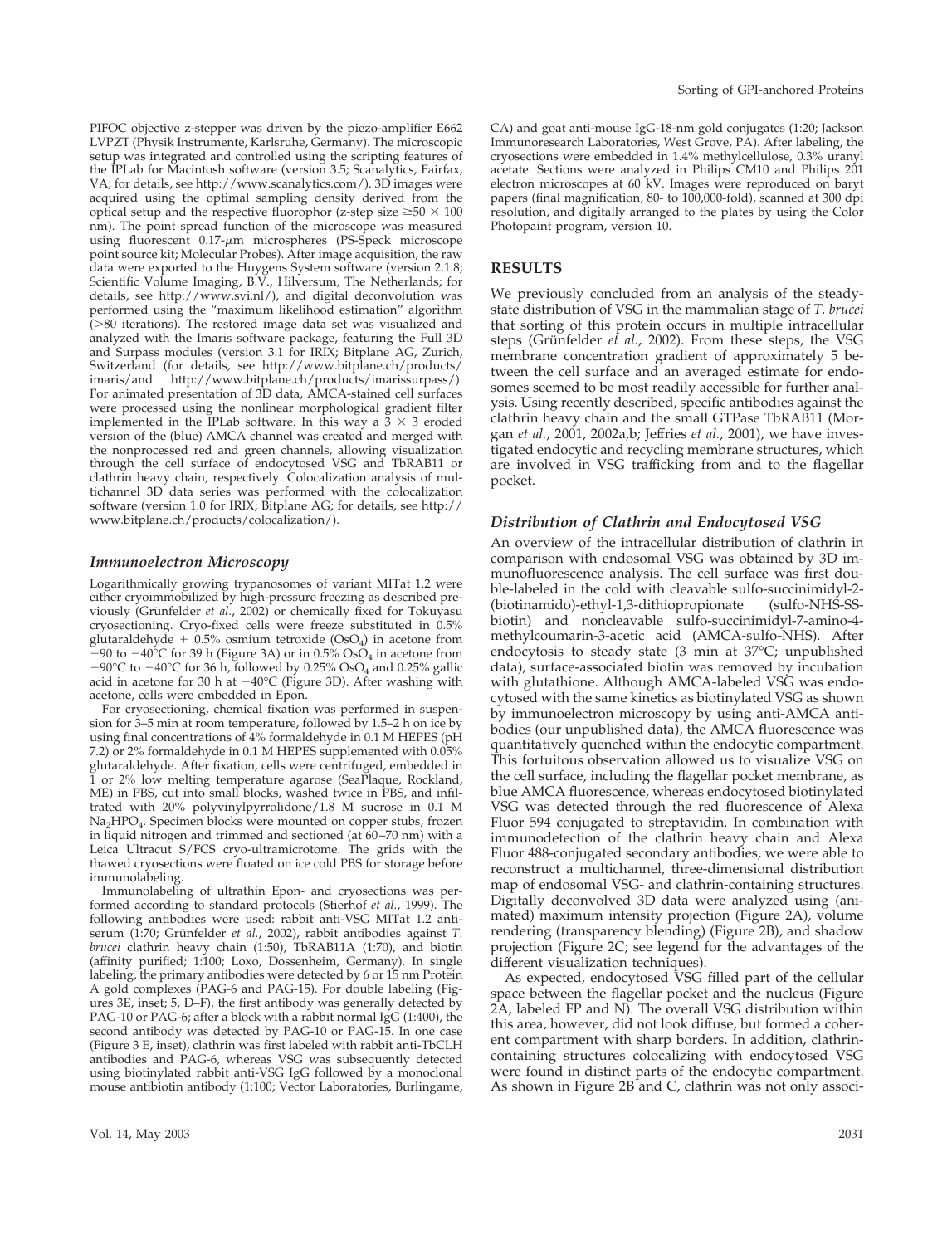PIFOC objective z-stepper was driven by the piezo-amplifier E662 LVPZT (Physik Instrumente, Karlsruhe, Germany). The microscopic setup was integrated and controlled using the scripting features of the IPLab for Macintosh software (version 3.5; Scanalytics, Fairfax, VA; for details, see http://www.scanalytics.com/). 3D images were acquired using the optimal sampling density derived from the optical setup and the respective fluorophor (z-step size  $\geq 50 \times 100$ nm). The point spread function of the microscope was measured using fluorescent  $0.17$ - $\mu$ m microspheres (PS-Speck microscope point source kit; Molecular Probes). After image acquisition, the raw data were exported to the Huygens System software (version 2.1.8; Scientific Volume Imaging, B.V., Hilversum, The Netherlands; for details, see http://www.svi.nl/), and digital deconvolution was performed using the "maximum likelihood estimation" algorithm  $(>80$  iterations). The restored image data set was visualized and analyzed with the Imaris software package, featuring the Full 3D and Surpass modules (version 3.1 for IRIX; Bitplane AG, Zurich, Switzerland (for details, see http://www.bitplane.ch/products/ http://www.bitplane.ch/products/imarissurpass/). For animated presentation of 3D data, AMCA-stained cell surfaces were processed using the nonlinear morphological gradient filter implemented in the IPLab software. In this way a  $3 \times 3$  eroded version of the (blue) AMCA channel was created and merged with the nonprocessed red and green channels, allowing visualization through the cell surface of endocytosed VSG and TbRAB11 or clathrin heavy chain, respectively. Colocalization analysis of multichannel 3D data series was performed with the colocalization software (version 1.0 for IRIX; Bitplane AG; for details, see http:// www.bitplane.ch/products/colocalization/).

#### *Immunoelectron Microscopy*

Logarithmically growing trypanosomes of variant MITat 1.2 were either cryoimmobilized by high-pressure freezing as described previously (Grünfelder et al., 2002) or chemically fixed for Tokuyasu cryosectioning. Cryo-fixed cells were freeze substituted in 0.5% glutaraldehyde +  $0.5\%$  osmium tetroxide (OsO<sub>4</sub>) in acetone from  $-90$  to  $-40^{\circ}$ C for 39 h (Figure 3A) or in 0.5% OsO<sub>4</sub> in acetone from  $-90^{\circ}$ C to  $-40^{\circ}$ C for 36 h, followed by 0.25% OsO<sub>4</sub> and 0.25% gallic acid in acetone for 30 h at  $-40^{\circ}$ C (Figure 3D). After washing with acetone, cells were embedded in Epon.

For cryosectioning, chemical fixation was performed in suspension for 3–5 min at room temperature, followed by 1.5–2 h on ice by using final concentrations of 4% formaldehyde in 0.1 M HEPES (pH 7.2) or 2% formaldehyde in 0.1 M HEPES supplemented with 0.05% glutaraldehyde. After fixation, cells were centrifuged, embedded in 1 or 2% low melting temperature agarose (SeaPlaque, Rockland, ME) in PBS, cut into small blocks, washed twice in PBS, and infiltrated with 20% polyvinylpyrrolidone/1.8 M sucrose in 0.1 M  $Na<sub>2</sub>HPO<sub>4</sub>$ . Specimen blocks were mounted on copper stubs, frozen in liquid nitrogen and trimmed and sectioned (at 60–70 nm) with a Leica Ultracut S/FCS cryo-ultramicrotome. The grids with the thawed cryosections were floated on ice cold PBS for storage before immunolabeling.

Immunolabeling of ultrathin Epon- and cryosections was performed according to standard protocols (Stierhof *et al.*, 1999). The following antibodies were used: rabbit anti-VSG MITat 1.2 antiserum (1:70; Grünfelder et al., 2002), rabbit antibodies against *T*. *brucei* clathrin heavy chain (1:50), TbRAB11A (1:70), and biotin (affinity purified; 1:100; Loxo, Dossenheim, Germany). In single labeling, the primary antibodies were detected by 6 or 15 nm Protein A gold complexes (PAG-6 and PAG-15). For double labeling (Figures 3E, inset; 5, D–F), the first antibody was generally detected by PAG-10 or PAG-6; after a block with a rabbit normal IgG (1:400), the second antibody was detected by PAG-10 or PAG-15. In one case (Figure 3 E, inset), clathrin was first labeled with rabbit anti-TbCLH antibodies and PAG-6, whereas VSG was subsequently detected using biotinylated rabbit anti-VSG IgG followed by a monoclonal mouse antibiotin antibody (1:100; Vector Laboratories, Burlingame,

CA) and goat anti-mouse IgG-18-nm gold conjugates (1:20; Jackson Immunoresearch Laboratories, West Grove, PA). After labeling, the cryosections were embedded in 1.4% methylcellulose, 0.3% uranyl acetate. Sections were analyzed in Philips CM10 and Philips 201 electron microscopes at 60 kV. Images were reproduced on baryt papers (final magnification, 80- to 100,000-fold), scanned at 300 dpi resolution, and digitally arranged to the plates by using the Color Photopaint program, version 10.

#### **RESULTS**

We previously concluded from an analysis of the steadystate distribution of VSG in the mammalian stage of *T. brucei* that sorting of this protein occurs in multiple intracellular steps (Grünfelder *et al.*, 2002). From these steps, the VSG membrane concentration gradient of approximately 5 between the cell surface and an averaged estimate for endosomes seemed to be most readily accessible for further analysis. Using recently described, specific antibodies against the clathrin heavy chain and the small GTPase TbRAB11 (Morgan *et al.*, 2001, 2002a,b; Jeffries *et al.*, 2001), we have investigated endocytic and recycling membrane structures, which are involved in VSG trafficking from and to the flagellar pocket.

#### *Distribution of Clathrin and Endocytosed VSG*

An overview of the intracellular distribution of clathrin in comparison with endosomal VSG was obtained by 3D immunofluorescence analysis. The cell surface was first double-labeled in the cold with cleavable sulfo-succinimidyl-2- (biotinamido)-ethyl-1,3-dithiopropionate (sulfo-NHS-SSbiotin) and noncleavable sulfo-succinimidyl-7-amino-4 methylcoumarin-3-acetic acid (AMCA-sulfo-NHS). After endocytosis to steady state (3 min at 37°C; unpublished data), surface-associated biotin was removed by incubation with glutathione. Although AMCA-labeled VSG was endocytosed with the same kinetics as biotinylated VSG as shown by immunoelectron microscopy by using anti-AMCA antibodies (our unpublished data), the AMCA fluorescence was quantitatively quenched within the endocytic compartment. This fortuitous observation allowed us to visualize VSG on the cell surface, including the flagellar pocket membrane, as blue AMCA fluorescence, whereas endocytosed biotinylated VSG was detected through the red fluorescence of Alexa Fluor 594 conjugated to streptavidin. In combination with immunodetection of the clathrin heavy chain and Alexa Fluor 488-conjugated secondary antibodies, we were able to reconstruct a multichannel, three-dimensional distribution map of endosomal VSG- and clathrin-containing structures. Digitally deconvolved 3D data were analyzed using (animated) maximum intensity projection (Figure 2A), volume rendering (transparency blending) (Figure 2B), and shadow projection (Figure 2C; see legend for the advantages of the different visualization techniques).

As expected, endocytosed VSG filled part of the cellular space between the flagellar pocket and the nucleus (Figure 2A, labeled FP and N). The overall VSG distribution within this area, however, did not look diffuse, but formed a coherent compartment with sharp borders. In addition, clathrincontaining structures colocalizing with endocytosed VSG were found in distinct parts of the endocytic compartment. As shown in Figure 2B and C, clathrin was not only associ-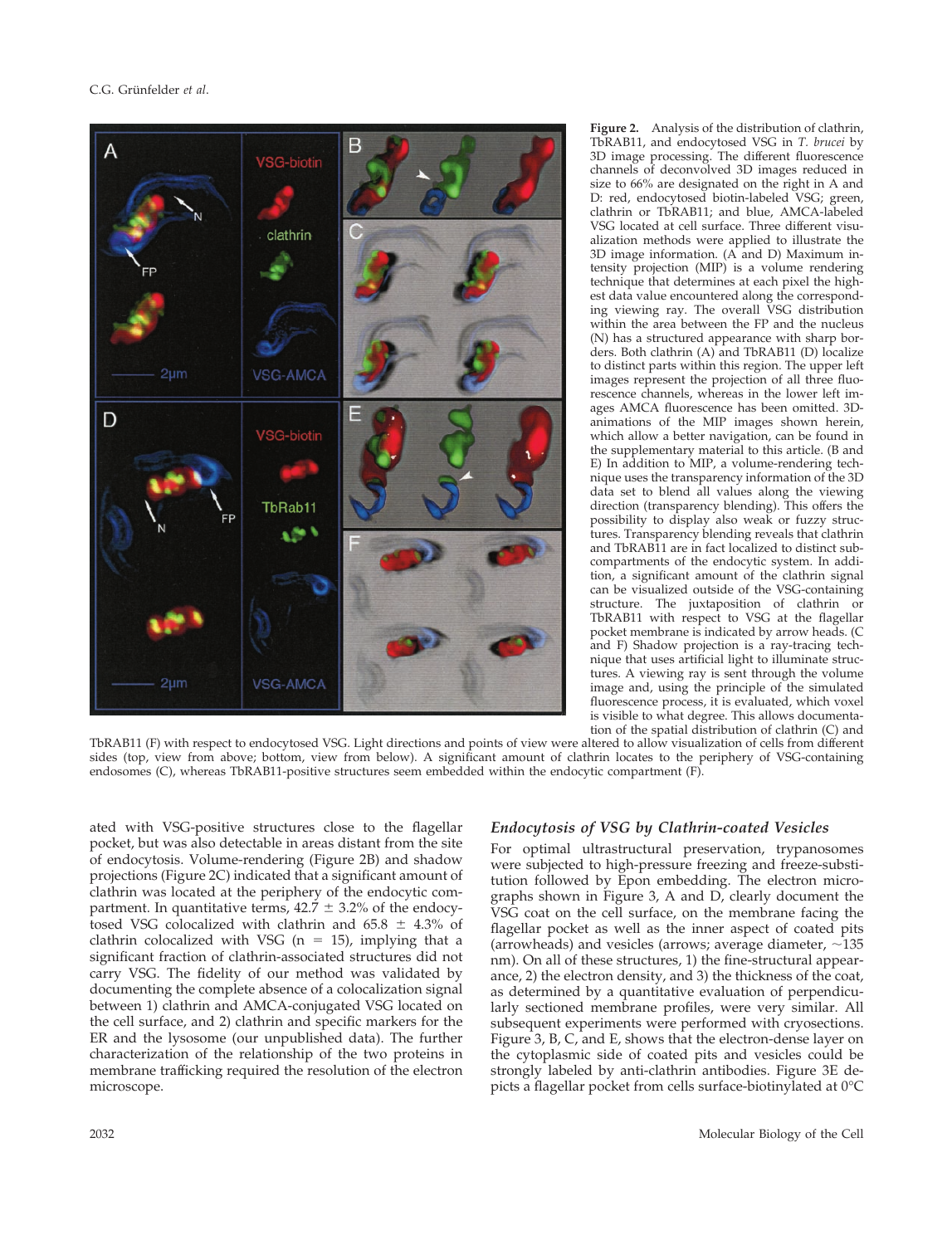

**Figure 2.** Analysis of the distribution of clathrin, TbRAB11, and endocytosed VSG in *T. brucei* by 3D image processing. The different fluorescence channels of deconvolved 3D images reduced in size to 66% are designated on the right in A and D: red, endocytosed biotin-labeled VSG; green, clathrin or TbRAB11; and blue, AMCA-labeled VSG located at cell surface. Three different visualization methods were applied to illustrate the 3D image information. (A and D) Maximum intensity projection (MIP) is a volume rendering technique that determines at each pixel the highest data value encountered along the corresponding viewing ray. The overall VSG distribution within the area between the FP and the nucleus (N) has a structured appearance with sharp borders. Both clathrin (A) and TbRAB11 (D) localize to distinct parts within this region. The upper left images represent the projection of all three fluorescence channels, whereas in the lower left images AMCA fluorescence has been omitted. 3Danimations of the MIP images shown herein, which allow a better navigation, can be found in the supplementary material to this article. (B and E) In addition to MIP, a volume-rendering technique uses the transparency information of the 3D data set to blend all values along the viewing direction (transparency blending). This offers the possibility to display also weak or fuzzy structures. Transparency blending reveals that clathrin and TbRAB11 are in fact localized to distinct subcompartments of the endocytic system. In addition, a significant amount of the clathrin signal can be visualized outside of the VSG-containing structure. The juxtaposition of clathrin or TbRAB11 with respect to VSG at the flagellar pocket membrane is indicated by arrow heads. (C and F) Shadow projection is a ray-tracing technique that uses artificial light to illuminate structures. A viewing ray is sent through the volume image and, using the principle of the simulated fluorescence process, it is evaluated, which voxel is visible to what degree. This allows documentation of the spatial distribution of clathrin (C) and

TbRAB11 (F) with respect to endocytosed VSG. Light directions and points of view were altered to allow visualization of cells from different sides (top, view from above; bottom, view from below). A significant amount of clathrin locates to the periphery of VSG-containing endosomes (C), whereas TbRAB11-positive structures seem embedded within the endocytic compartment (F).

ated with VSG-positive structures close to the flagellar pocket, but was also detectable in areas distant from the site of endocytosis. Volume-rendering (Figure 2B) and shadow projections (Figure 2C) indicated that a significant amount of clathrin was located at the periphery of the endocytic compartment. In quantitative terms,  $42.7 \pm 3.2\%$  of the endocytosed VSG colocalized with clathrin and  $65.8 \pm 4.3\%$  of clathrin colocalized with VSG ( $n = 15$ ), implying that a significant fraction of clathrin-associated structures did not carry VSG. The fidelity of our method was validated by documenting the complete absence of a colocalization signal between 1) clathrin and AMCA-conjugated VSG located on the cell surface, and 2) clathrin and specific markers for the ER and the lysosome (our unpublished data). The further characterization of the relationship of the two proteins in membrane trafficking required the resolution of the electron microscope.

#### *Endocytosis of VSG by Clathrin-coated Vesicles*

For optimal ultrastructural preservation, trypanosomes were subjected to high-pressure freezing and freeze-substitution followed by Epon embedding. The electron micrographs shown in Figure 3, A and D, clearly document the VSG coat on the cell surface, on the membrane facing the flagellar pocket as well as the inner aspect of coated pits (arrowheads) and vesicles (arrows; average diameter,  $\sim$ 135 nm). On all of these structures, 1) the fine-structural appearance, 2) the electron density, and 3) the thickness of the coat, as determined by a quantitative evaluation of perpendicularly sectioned membrane profiles, were very similar. All subsequent experiments were performed with cryosections. Figure 3, B, C, and E, shows that the electron-dense layer on the cytoplasmic side of coated pits and vesicles could be strongly labeled by anti-clathrin antibodies. Figure 3E depicts a flagellar pocket from cells surface-biotinylated at 0°C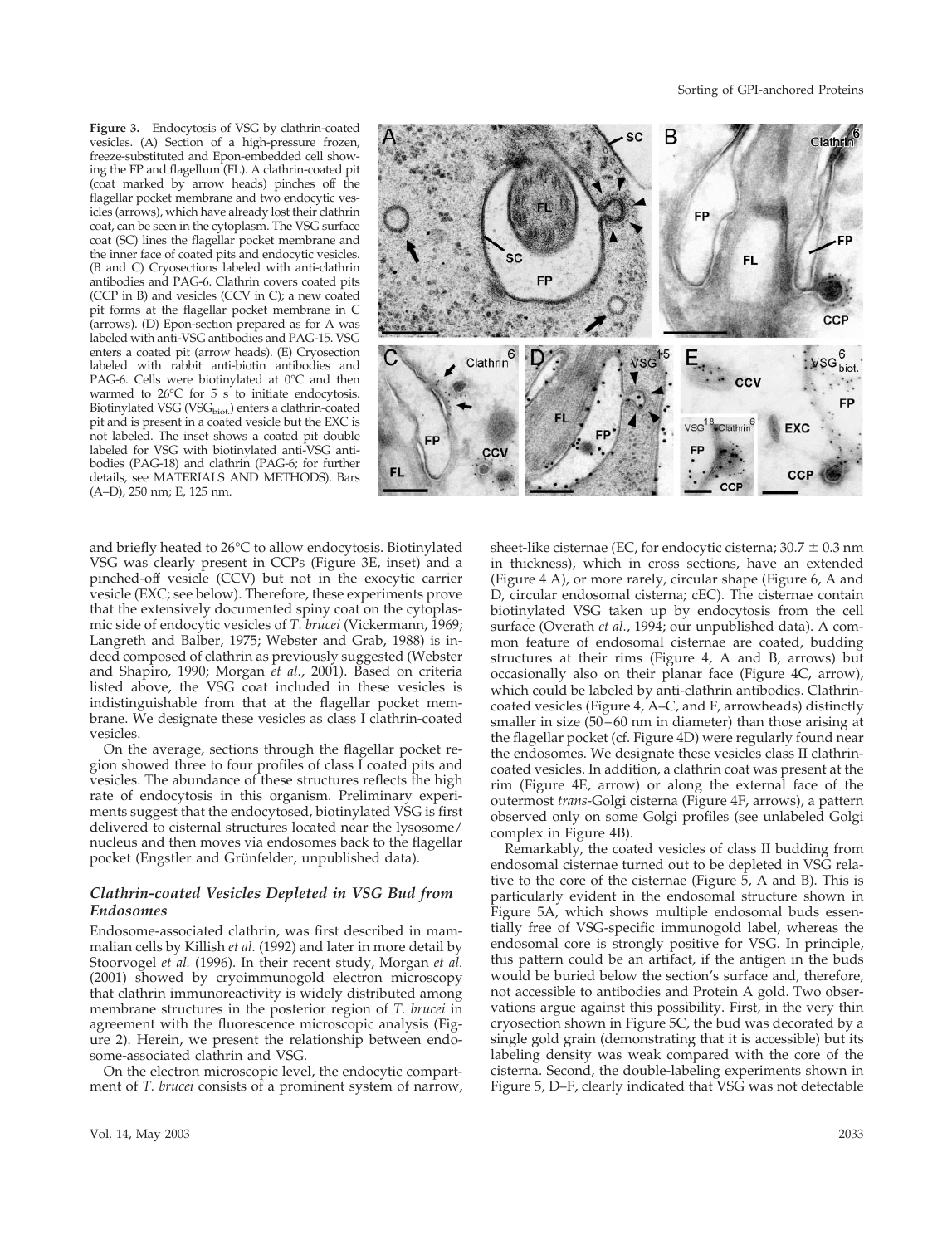**Figure 3.** Endocytosis of VSG by clathrin-coated vesicles. (A) Section of a high-pressure frozen, freeze-substituted and Epon-embedded cell showing the FP and flagellum (FL). A clathrin-coated pit (coat marked by arrow heads) pinches off the flagellar pocket membrane and two endocytic vesicles (arrows), which have already lost their clathrin coat, can be seen in the cytoplasm. The VSG surface coat (SC) lines the flagellar pocket membrane and the inner face of coated pits and endocytic vesicles. (B and C) Cryosections labeled with anti-clathrin antibodies and PAG-6. Clathrin covers coated pits (CCP in B) and vesicles (CCV in C); a new coated pit forms at the flagellar pocket membrane in C (arrows). (D) Epon-section prepared as for A was labeled with anti-VSG antibodies and PAG-15. VSG enters a coated pit (arrow heads). (E) Cryosection labeled with rabbit anti-biotin antibodies and PAG-6. Cells were biotinylated at 0°C and then warmed to 26°C for 5 s to initiate endocytosis. Biotinylated VSG (VSG $_{\rm biot.})$  enters a clathrin-coated pit and is present in a coated vesicle but the EXC is not labeled. The inset shows a coated pit double labeled for VSG with biotinylated anti-VSG antibodies (PAG-18) and clathrin (PAG-6; for further details, see MATERIALS AND METHODS). Bars (A–D), 250 nm; E, 125 nm.



and briefly heated to 26°C to allow endocytosis. Biotinylated VSG was clearly present in CCPs (Figure 3E, inset) and a pinched-off vesicle (CCV) but not in the exocytic carrier vesicle (EXC; see below). Therefore, these experiments prove that the extensively documented spiny coat on the cytoplasmic side of endocytic vesicles of *T. brucei* (Vickermann, 1969; Langreth and Balber, 1975; Webster and Grab, 1988) is indeed composed of clathrin as previously suggested (Webster and Shapiro, 1990; Morgan *et al.*, 2001). Based on criteria listed above, the VSG coat included in these vesicles is indistinguishable from that at the flagellar pocket membrane. We designate these vesicles as class I clathrin-coated vesicles.

On the average, sections through the flagellar pocket region showed three to four profiles of class I coated pits and vesicles. The abundance of these structures reflects the high rate of endocytosis in this organism. Preliminary experiments suggest that the endocytosed, biotinylated VSG is first delivered to cisternal structures located near the lysosome/ nucleus and then moves via endosomes back to the flagellar pocket (Engstler and Grünfelder, unpublished data).

#### *Clathrin-coated Vesicles Depleted in VSG Bud from Endosomes*

Endosome-associated clathrin, was first described in mammalian cells by Killish *et al.* (1992) and later in more detail by Stoorvogel *et al.* (1996). In their recent study, Morgan *et al.* (2001) showed by cryoimmunogold electron microscopy that clathrin immunoreactivity is widely distributed among membrane structures in the posterior region of *T. brucei* in agreement with the fluorescence microscopic analysis (Figure 2). Herein, we present the relationship between endosome-associated clathrin and VSG.

On the electron microscopic level, the endocytic compartment of *T. brucei* consists of a prominent system of narrow, sheet-like cisternae (EC, for endocytic cisterna;  $30.7 \pm 0.3$  nm in thickness), which in cross sections, have an extended (Figure 4 A), or more rarely, circular shape (Figure 6, A and D, circular endosomal cisterna; cEC). The cisternae contain biotinylated VSG taken up by endocytosis from the cell surface (Overath *et al.*, 1994; our unpublished data). A common feature of endosomal cisternae are coated, budding structures at their rims (Figure 4, A and B, arrows) but occasionally also on their planar face (Figure 4C, arrow), which could be labeled by anti-clathrin antibodies. Clathrincoated vesicles (Figure 4, A–C, and F, arrowheads) distinctly smaller in size (50–60 nm in diameter) than those arising at the flagellar pocket (cf. Figure 4D) were regularly found near the endosomes. We designate these vesicles class II clathrincoated vesicles. In addition, a clathrin coat was present at the rim (Figure 4E, arrow) or along the external face of the outermost *trans*-Golgi cisterna (Figure 4F, arrows), a pattern observed only on some Golgi profiles (see unlabeled Golgi complex in Figure 4B).

Remarkably, the coated vesicles of class II budding from endosomal cisternae turned out to be depleted in VSG relative to the core of the cisternae (Figure 5, A and B). This is particularly evident in the endosomal structure shown in Figure 5A, which shows multiple endosomal buds essentially free of VSG-specific immunogold label, whereas the endosomal core is strongly positive for VSG. In principle, this pattern could be an artifact, if the antigen in the buds would be buried below the section's surface and, therefore, not accessible to antibodies and Protein A gold. Two observations argue against this possibility. First, in the very thin cryosection shown in Figure 5C, the bud was decorated by a single gold grain (demonstrating that it is accessible) but its labeling density was weak compared with the core of the cisterna. Second, the double-labeling experiments shown in Figure 5, D–F, clearly indicated that VSG was not detectable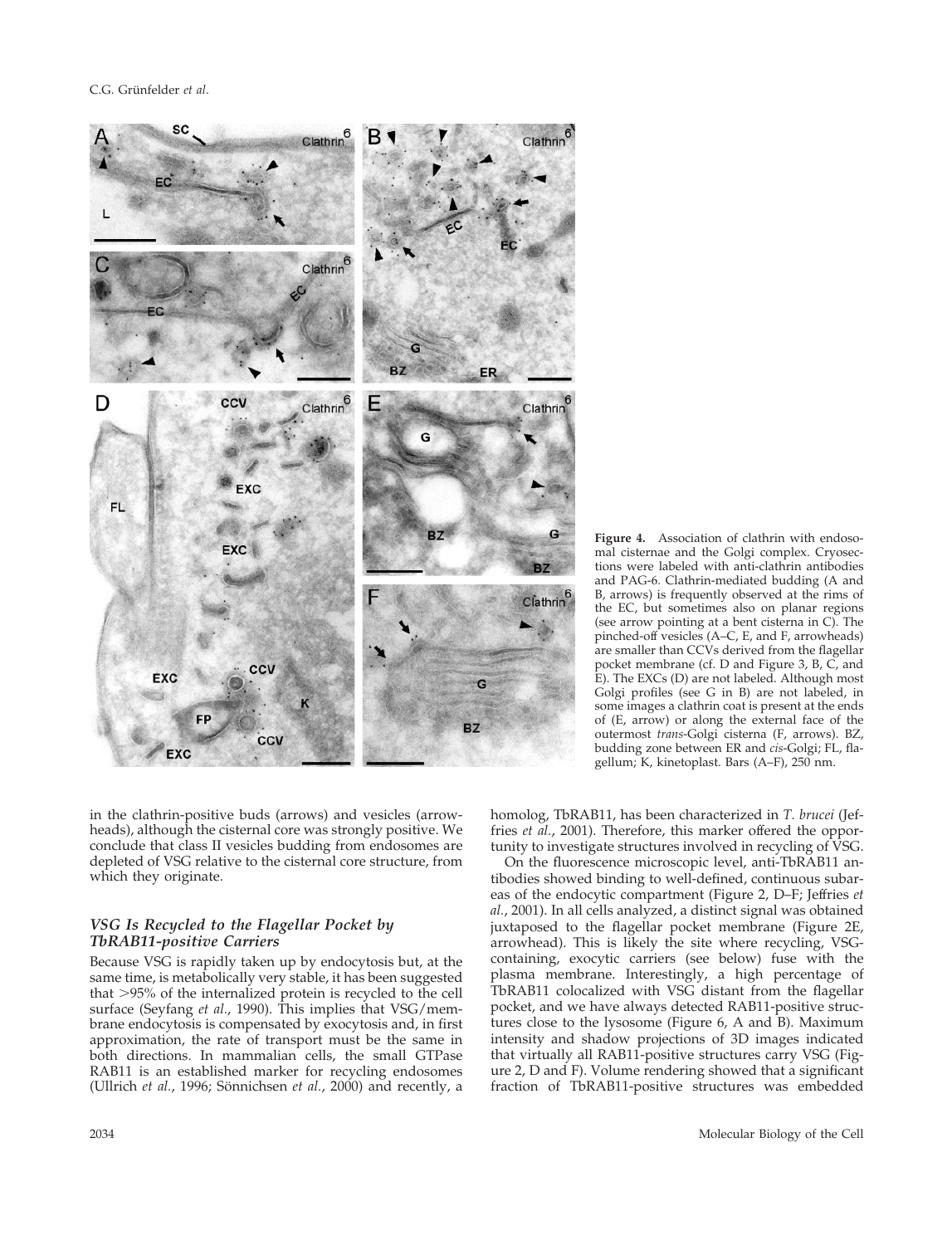

**Figure 4.** Association of clathrin with endosomal cisternae and the Golgi complex. Cryosections were labeled with anti-clathrin antibodies and PAG-6. Clathrin-mediated budding (A and B, arrows) is frequently observed at the rims of the EC, but sometimes also on planar regions (see arrow pointing at a bent cisterna in C). The pinched-off vesicles (A–C, E, and F, arrowheads) are smaller than CCVs derived from the flagellar pocket membrane (cf. D and Figure 3, B, C, and E). The EXCs (D) are not labeled. Although most Golgi profiles (see G in B) are not labeled, in some images a clathrin coat is present at the ends of (E, arrow) or along the external face of the outermost *trans*-Golgi cisterna (F, arrows). BZ, budding zone between ER and *cis*-Golgi; FL, flagellum; K, kinetoplast. Bars (A–F), 250 nm.

in the clathrin-positive buds (arrows) and vesicles (arrowheads), although the cisternal core was strongly positive. We conclude that class II vesicles budding from endosomes are depleted of VSG relative to the cisternal core structure, from which they originate.

# *VSG Is Recycled to the Flagellar Pocket by TbRAB11-positive Carriers*

Because VSG is rapidly taken up by endocytosis but, at the same time, is metabolically very stable, it has been suggested that 95% of the internalized protein is recycled to the cell surface (Seyfang *et al.*, 1990). This implies that VSG/membrane endocytosis is compensated by exocytosis and, in first approximation, the rate of transport must be the same in both directions. In mammalian cells, the small GTPase RAB11 is an established marker for recycling endosomes (Ullrich et al., 1996; Sönnichsen et al., 2000) and recently, a

homolog, TbRAB11, has been characterized in *T. brucei* (Jeffries *et al.*, 2001). Therefore, this marker offered the opportunity to investigate structures involved in recycling of VSG.

On the fluorescence microscopic level, anti-TbRAB11 antibodies showed binding to well-defined, continuous subareas of the endocytic compartment (Figure 2, D–F; Jeffries *et al.*, 2001). In all cells analyzed, a distinct signal was obtained juxtaposed to the flagellar pocket membrane (Figure 2E, arrowhead). This is likely the site where recycling, VSGcontaining, exocytic carriers (see below) fuse with the plasma membrane. Interestingly, a high percentage of TbRAB11 colocalized with VSG distant from the flagellar pocket, and we have always detected RAB11-positive structures close to the lysosome (Figure 6, A and B). Maximum intensity and shadow projections of 3D images indicated that virtually all RAB11-positive structures carry VSG (Figure 2, D and F). Volume rendering showed that a significant fraction of TbRAB11-positive structures was embedded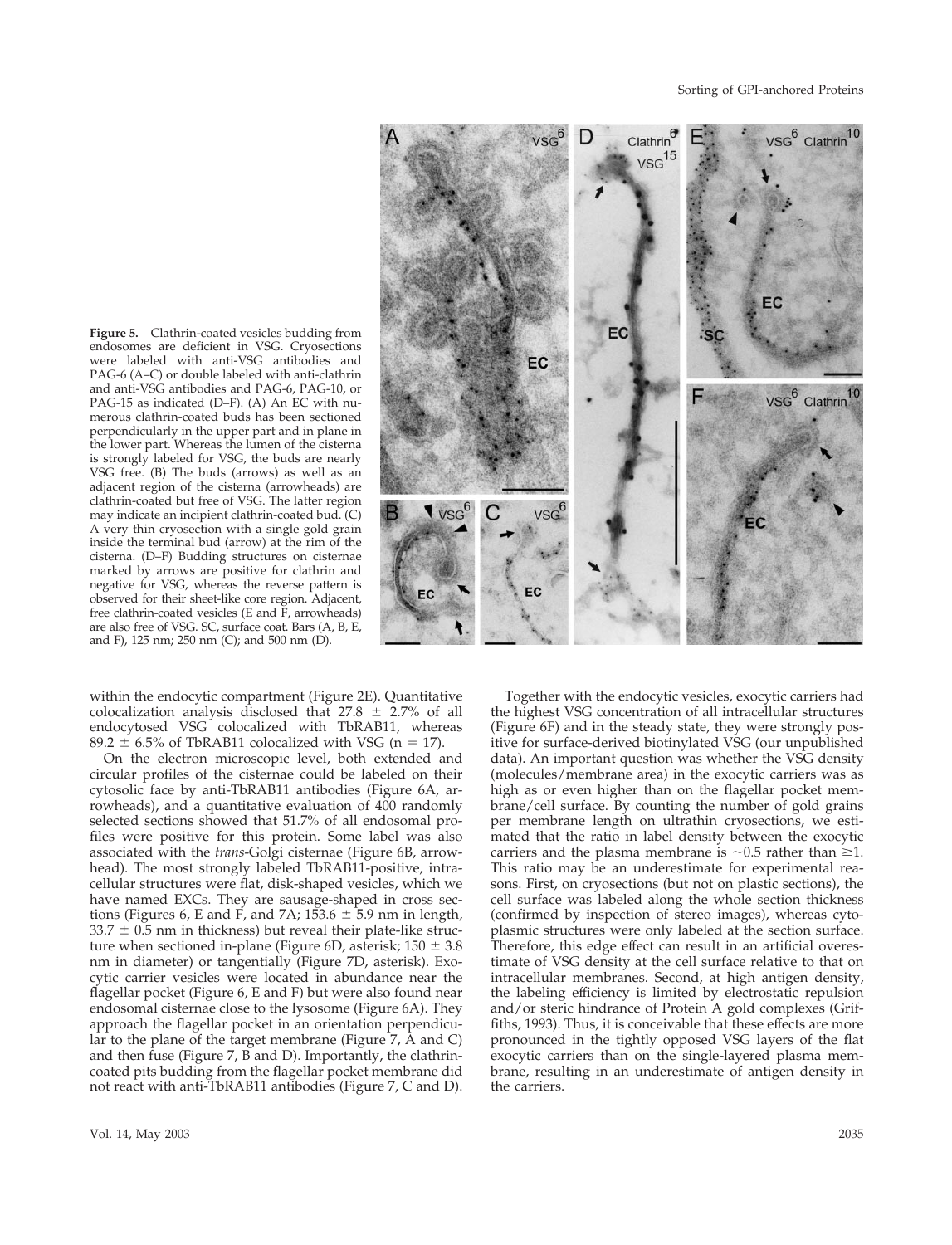**Figure 5.** Clathrin-coated vesicles budding from endosomes are deficient in VSG. Cryosections were labeled with anti-VSG antibodies and PAG-6 (A–C) or double labeled with anti-clathrin and anti-VSG antibodies and PAG-6, PAG-10, or PAG-15 as indicated (D–F). (A) An EC with numerous clathrin-coated buds has been sectioned perpendicularly in the upper part and in plane in the lower part. Whereas the lumen of the cisterna is strongly labeled for VSG, the buds are nearly VSG free. (B) The buds (arrows) as well as an adjacent region of the cisterna (arrowheads) are clathrin-coated but free of VSG. The latter region may indicate an incipient clathrin-coated bud. (C) A very thin cryosection with a single gold grain inside the terminal bud (arrow) at the rim of the cisterna. (D–F) Budding structures on cisternae marked by arrows are positive for clathrin and negative for VSG, whereas the reverse pattern is observed for their sheet-like core region. Adjacent, free clathrin-coated vesicles (E and F, arrowheads) are also free of VSG. SC, surface coat. Bars (A, B, E, and F), 125 nm; 250 nm (C); and 500 nm (D).

within the endocytic compartment (Figure 2E). Quantitative colocalization analysis disclosed that  $27.8 \pm 2.7\%$  of all endocytosed VSG colocalized with TbRAB11, whereas 89.2  $\pm$  6.5% of TbRAB11 colocalized with VSG (n = 17).

On the electron microscopic level, both extended and circular profiles of the cisternae could be labeled on their cytosolic face by anti-TbRAB11 antibodies (Figure 6A, arrowheads), and a quantitative evaluation of 400 randomly selected sections showed that 51.7% of all endosomal profiles were positive for this protein. Some label was also associated with the *trans*-Golgi cisternae (Figure 6B, arrowhead). The most strongly labeled TbRAB11-positive, intracellular structures were flat, disk-shaped vesicles, which we have named EXCs. They are sausage-shaped in cross sections (Figures 6, E and F, and 7A;  $153.6 \pm 5.9$  nm in length,  $33.7 \pm 0.5$  nm in thickness) but reveal their plate-like structure when sectioned in-plane (Figure 6D, asterisk;  $150 \pm 3.8$ ) nm in diameter) or tangentially (Figure 7D, asterisk). Exocytic carrier vesicles were located in abundance near the flagellar pocket (Figure 6, E and F) but were also found near endosomal cisternae close to the lysosome (Figure 6A). They approach the flagellar pocket in an orientation perpendicular to the plane of the target membrane (Figure 7, A and C) and then fuse (Figure 7, B and D). Importantly, the clathrincoated pits budding from the flagellar pocket membrane did not react with anti-TbRAB11 antibodies (Figure 7, C and D).



Together with the endocytic vesicles, exocytic carriers had the highest VSG concentration of all intracellular structures (Figure 6F) and in the steady state, they were strongly positive for surface-derived biotinylated VSG (our unpublished data). An important question was whether the VSG density (molecules/membrane area) in the exocytic carriers was as high as or even higher than on the flagellar pocket membrane/cell surface. By counting the number of gold grains per membrane length on ultrathin cryosections, we estimated that the ratio in label density between the exocytic carriers and the plasma membrane is  $\sim 0.5$  rather than  $\geq 1$ . This ratio may be an underestimate for experimental reasons. First, on cryosections (but not on plastic sections), the cell surface was labeled along the whole section thickness (confirmed by inspection of stereo images), whereas cytoplasmic structures were only labeled at the section surface. Therefore, this edge effect can result in an artificial overestimate of VSG density at the cell surface relative to that on intracellular membranes. Second, at high antigen density, the labeling efficiency is limited by electrostatic repulsion and/or steric hindrance of Protein A gold complexes (Griffiths, 1993). Thus, it is conceivable that these effects are more pronounced in the tightly opposed VSG layers of the flat exocytic carriers than on the single-layered plasma membrane, resulting in an underestimate of antigen density in the carriers.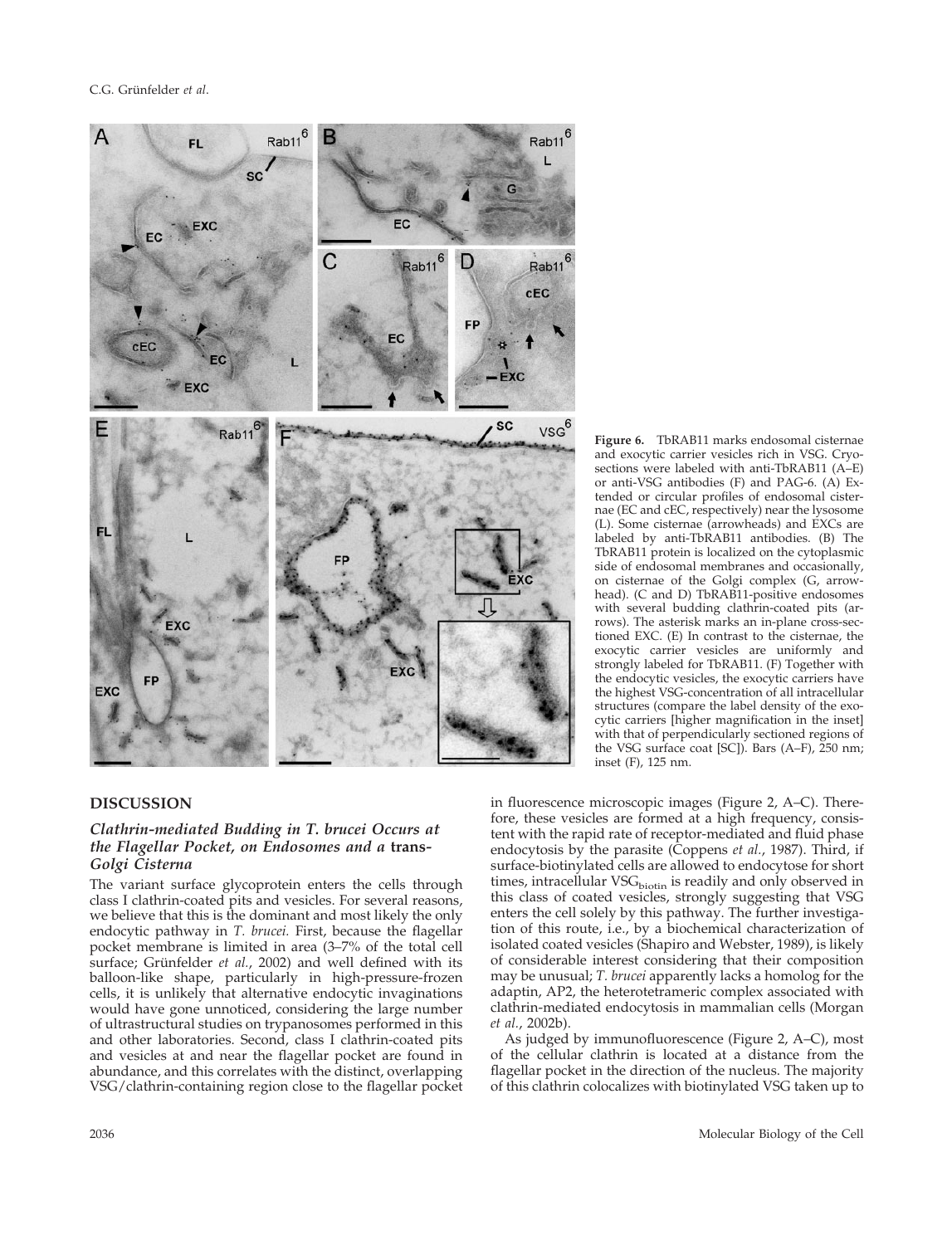

# **DISCUSSION**

#### *Clathrin-mediated Budding in T. brucei Occurs at the Flagellar Pocket, on Endosomes and a* **trans***-Golgi Cisterna*

The variant surface glycoprotein enters the cells through class I clathrin-coated pits and vesicles. For several reasons, we believe that this is the dominant and most likely the only endocytic pathway in *T. brucei.* First, because the flagellar pocket membrane is limited in area (3–7% of the total cell surface; Grünfelder et al., 2002) and well defined with its balloon-like shape, particularly in high-pressure-frozen cells, it is unlikely that alternative endocytic invaginations would have gone unnoticed, considering the large number of ultrastructural studies on trypanosomes performed in this and other laboratories. Second, class I clathrin-coated pits and vesicles at and near the flagellar pocket are found in abundance, and this correlates with the distinct, overlapping VSG/clathrin-containing region close to the flagellar pocket

**Figure 6.** TbRAB11 marks endosomal cisternae and exocytic carrier vesicles rich in VSG. Cryosections were labeled with anti-TbRAB11 (A–E) or anti-VSG antibodies (F) and PAG-6. (A) Extended or circular profiles of endosomal cisternae (EC and cEC, respectively) near the lysosome (L). Some cisternae (arrowheads) and EXCs are labeled by anti-TbRAB11 antibodies. (B) The TbRAB11 protein is localized on the cytoplasmic side of endosomal membranes and occasionally, on cisternae of the Golgi complex (G, arrowhead). (C and D) TbRAB11-positive endosomes with several budding clathrin-coated pits (arrows). The asterisk marks an in-plane cross-sectioned EXC. (E) In contrast to the cisternae, the exocytic carrier vesicles are uniformly and strongly labeled for TbRAB11. (F) Together with the endocytic vesicles, the exocytic carriers have the highest VSG-concentration of all intracellular structures (compare the label density of the exocytic carriers [higher magnification in the inset] with that of perpendicularly sectioned regions of the VSG surface coat [SC]). Bars (A–F), 250 nm; inset (F), 125 nm.

in fluorescence microscopic images (Figure 2, A–C). Therefore, these vesicles are formed at a high frequency, consistent with the rapid rate of receptor-mediated and fluid phase endocytosis by the parasite (Coppens *et al.*, 1987). Third, if surface-biotinylated cells are allowed to endocytose for short times, intracellular  ${\rm VSG}_{\rm biotin}$  is readily and only observed in this class of coated vesicles, strongly suggesting that VSG enters the cell solely by this pathway. The further investigation of this route, i.e., by a biochemical characterization of isolated coated vesicles (Shapiro and Webster, 1989), is likely of considerable interest considering that their composition may be unusual; *T. brucei* apparently lacks a homolog for the adaptin, AP2, the heterotetrameric complex associated with clathrin-mediated endocytosis in mammalian cells (Morgan *et al.*, 2002b).

As judged by immunofluorescence (Figure 2, A–C), most of the cellular clathrin is located at a distance from the flagellar pocket in the direction of the nucleus. The majority of this clathrin colocalizes with biotinylated VSG taken up to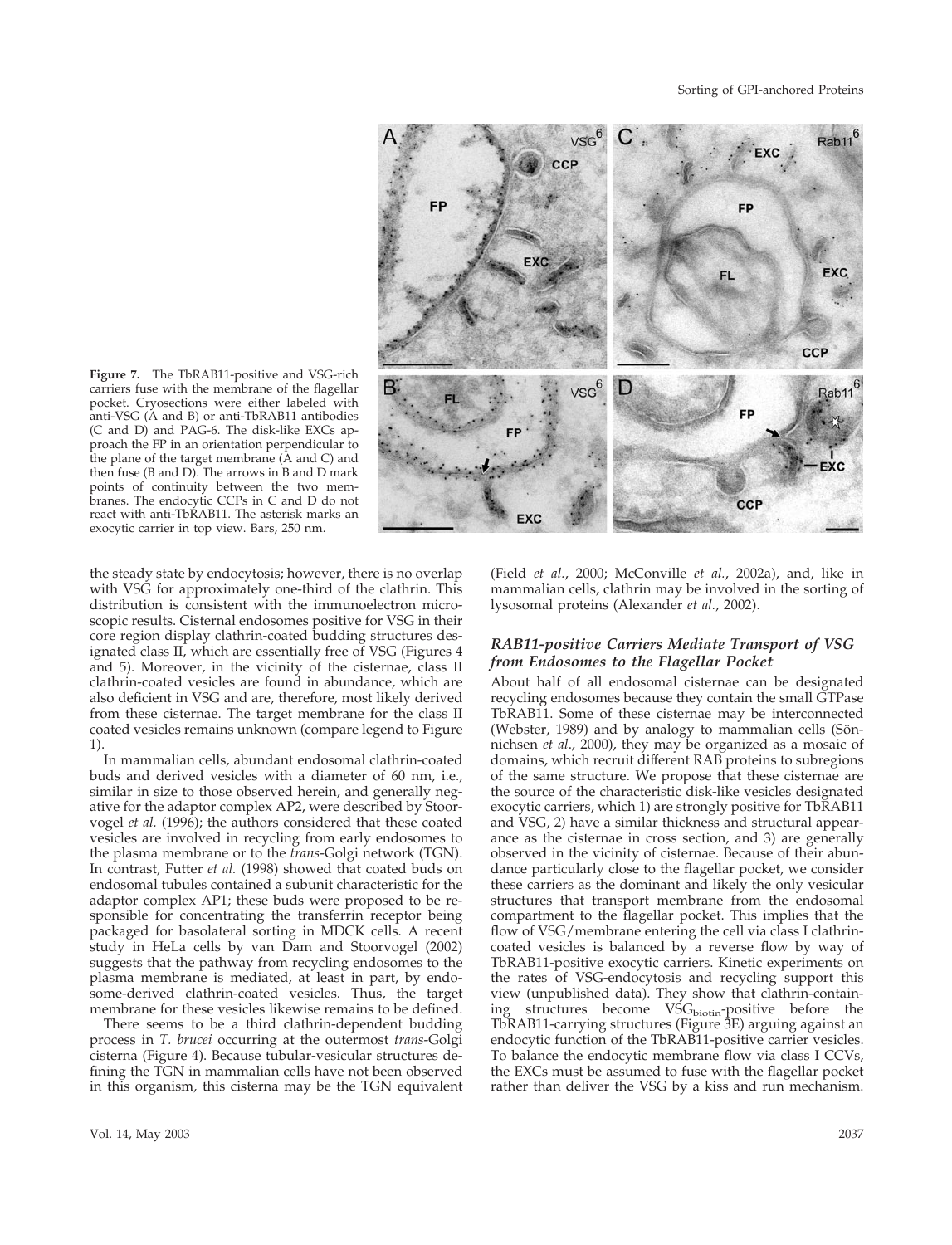**Figure 7.** The TbRAB11-positive and VSG-rich carriers fuse with the membrane of the flagellar pocket. Cryosections were either labeled with anti-VSG (A and B) or anti-TbRAB11 antibodies (C and D) and PAG-6. The disk-like EXCs approach the FP in an orientation perpendicular to the plane of the target membrane (A and C) and then fuse (B and D). The arrows in B and D mark points of continuity between the two membranes. The endocytic CCPs in C and D do not react with anti-TbRAB11. The asterisk marks an exocytic carrier in top view. Bars, 250 nm.

the steady state by endocytosis; however, there is no overlap with VSG for approximately one-third of the clathrin. This distribution is consistent with the immunoelectron microscopic results. Cisternal endosomes positive for VSG in their core region display clathrin-coated budding structures designated class II, which are essentially free of VSG (Figures 4 and 5). Moreover, in the vicinity of the cisternae, class II clathrin-coated vesicles are found in abundance, which are also deficient in VSG and are, therefore, most likely derived from these cisternae. The target membrane for the class II coated vesicles remains unknown (compare legend to Figure 1).

In mammalian cells, abundant endosomal clathrin-coated buds and derived vesicles with a diameter of 60 nm, i.e., similar in size to those observed herein, and generally negative for the adaptor complex AP2, were described by Stoorvogel *et al.* (1996); the authors considered that these coated vesicles are involved in recycling from early endosomes to the plasma membrane or to the *trans*-Golgi network (TGN). In contrast, Futter *et al.* (1998) showed that coated buds on endosomal tubules contained a subunit characteristic for the adaptor complex AP1; these buds were proposed to be responsible for concentrating the transferrin receptor being packaged for basolateral sorting in MDCK cells. A recent study in HeLa cells by van Dam and Stoorvogel (2002) suggests that the pathway from recycling endosomes to the plasma membrane is mediated, at least in part, by endosome-derived clathrin-coated vesicles. Thus, the target membrane for these vesicles likewise remains to be defined.

There seems to be a third clathrin-dependent budding process in *T. brucei* occurring at the outermost *trans*-Golgi cisterna (Figure 4). Because tubular-vesicular structures defining the TGN in mammalian cells have not been observed in this organism*,* this cisterna may be the TGN equivalent

(Field *et al.*, 2000; McConville *et al.*, 2002a), and, like in mammalian cells, clathrin may be involved in the sorting of lysosomal proteins (Alexander *et al.*, 2002).

#### *RAB11-positive Carriers Mediate Transport of VSG from Endosomes to the Flagellar Pocket*

About half of all endosomal cisternae can be designated recycling endosomes because they contain the small GTPase TbRAB11. Some of these cisternae may be interconnected (Webster, 1989) and by analogy to mammalian cells (Sönnichsen *et al*., 2000), they may be organized as a mosaic of domains, which recruit different RAB proteins to subregions of the same structure. We propose that these cisternae are the source of the characteristic disk-like vesicles designated exocytic carriers, which 1) are strongly positive for TbRAB11 and VSG, 2) have a similar thickness and structural appearance as the cisternae in cross section, and 3) are generally observed in the vicinity of cisternae. Because of their abundance particularly close to the flagellar pocket, we consider these carriers as the dominant and likely the only vesicular structures that transport membrane from the endosomal compartment to the flagellar pocket. This implies that the flow of VSG/membrane entering the cell via class I clathrincoated vesicles is balanced by a reverse flow by way of TbRAB11-positive exocytic carriers. Kinetic experiments on the rates of VSG-endocytosis and recycling support this view (unpublished data). They show that clathrin-containing structures become  $V\acute{S}G_{\text{biotin}}$ -positive before the TbRAB11-carrying structures (Figure 3E) arguing against an endocytic function of the TbRAB11-positive carrier vesicles. To balance the endocytic membrane flow via class I CCVs, the EXCs must be assumed to fuse with the flagellar pocket rather than deliver the VSG by a kiss and run mechanism.

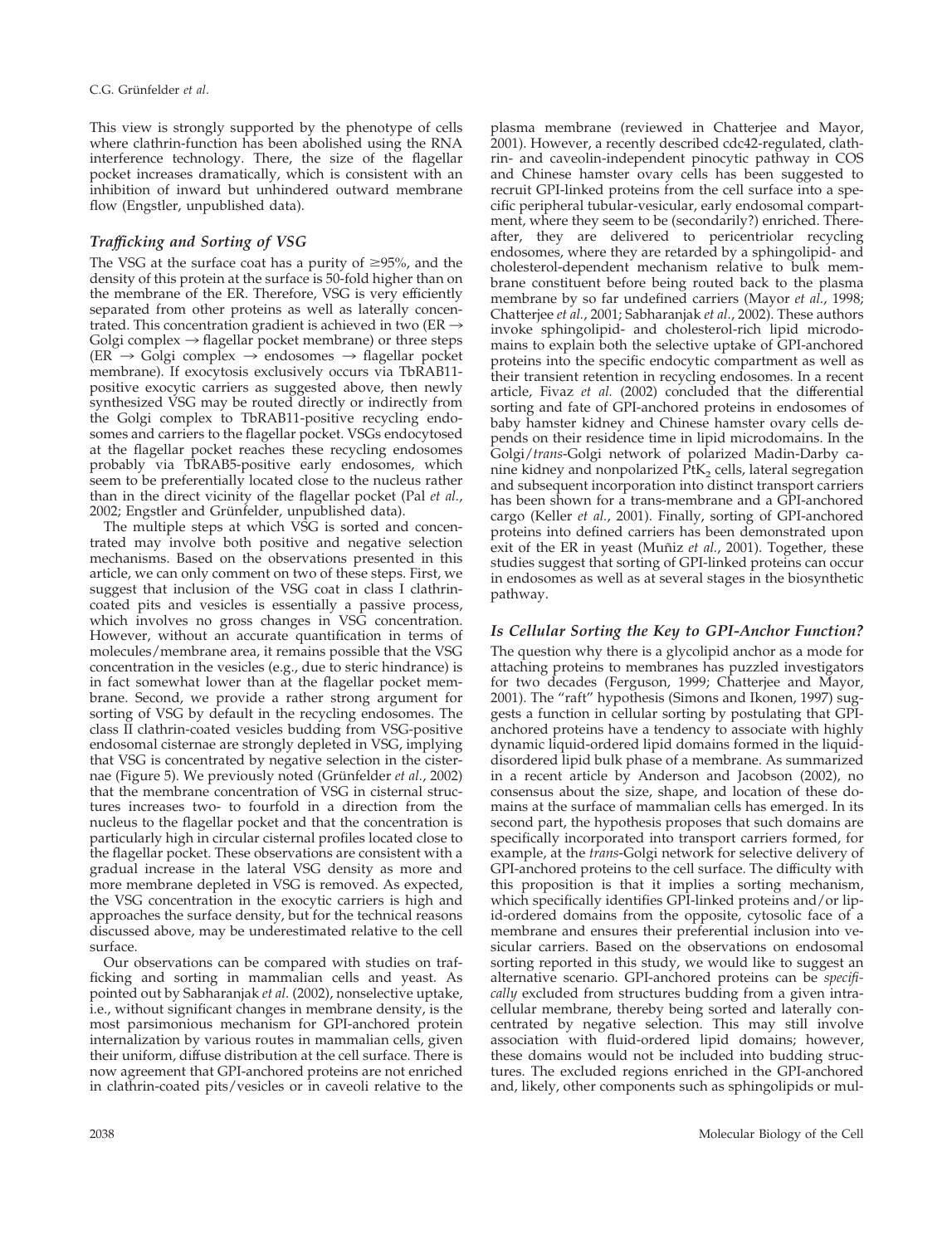This view is strongly supported by the phenotype of cells where clathrin-function has been abolished using the RNA interference technology. There, the size of the flagellar pocket increases dramatically, which is consistent with an inhibition of inward but unhindered outward membrane flow (Engstler, unpublished data).

# *Trafficking and Sorting of VSG*

The VSG at the surface coat has a purity of  $\geq$ 95%, and the density of this protein at the surface is 50-fold higher than on the membrane of the ER. Therefore, VSG is very efficiently separated from other proteins as well as laterally concentrated. This concentration gradient is achieved in two ( $ER \rightarrow$ Golgi complex  $\rightarrow$  flagellar pocket membrane) or three steps  $(ER \rightarrow Golgi \text{ complex } \rightarrow \text{endosomes } \rightarrow \text{flagellar pocket}$ membrane). If exocytosis exclusively occurs via TbRAB11 positive exocytic carriers as suggested above, then newly synthesized VSG may be routed directly or indirectly from the Golgi complex to TbRAB11-positive recycling endosomes and carriers to the flagellar pocket. VSGs endocytosed at the flagellar pocket reaches these recycling endosomes probably via TbRAB5-positive early endosomes, which seem to be preferentially located close to the nucleus rather than in the direct vicinity of the flagellar pocket (Pal *et al.*, 2002; Engstler and Grünfelder, unpublished data).

The multiple steps at which VSG is sorted and concentrated may involve both positive and negative selection mechanisms. Based on the observations presented in this article, we can only comment on two of these steps. First, we suggest that inclusion of the VSG coat in class I clathrincoated pits and vesicles is essentially a passive process, which involves no gross changes in VSG concentration. However, without an accurate quantification in terms of molecules/membrane area, it remains possible that the VSG concentration in the vesicles (e.g., due to steric hindrance) is in fact somewhat lower than at the flagellar pocket membrane. Second, we provide a rather strong argument for sorting of VSG by default in the recycling endosomes. The class II clathrin-coated vesicles budding from VSG-positive endosomal cisternae are strongly depleted in VSG, implying that VSG is concentrated by negative selection in the cisternae (Figure 5). We previously noted (Grünfelder *et al.*, 2002) that the membrane concentration of VSG in cisternal structures increases two- to fourfold in a direction from the nucleus to the flagellar pocket and that the concentration is particularly high in circular cisternal profiles located close to the flagellar pocket. These observations are consistent with a gradual increase in the lateral VSG density as more and more membrane depleted in VSG is removed. As expected, the VSG concentration in the exocytic carriers is high and approaches the surface density, but for the technical reasons discussed above, may be underestimated relative to the cell surface.

Our observations can be compared with studies on trafficking and sorting in mammalian cells and yeast. As pointed out by Sabharanjak *et al.* (2002), nonselective uptake, i.e., without significant changes in membrane density, is the most parsimonious mechanism for GPI-anchored protein internalization by various routes in mammalian cells, given their uniform, diffuse distribution at the cell surface. There is now agreement that GPI-anchored proteins are not enriched in clathrin-coated pits/vesicles or in caveoli relative to the

plasma membrane (reviewed in Chatterjee and Mayor, 2001). However, a recently described cdc42-regulated, clathrin- and caveolin-independent pinocytic pathway in COS and Chinese hamster ovary cells has been suggested to recruit GPI-linked proteins from the cell surface into a specific peripheral tubular-vesicular, early endosomal compartment, where they seem to be (secondarily?) enriched. Thereafter, they are delivered to pericentriolar recycling endosomes, where they are retarded by a sphingolipid- and cholesterol-dependent mechanism relative to bulk membrane constituent before being routed back to the plasma membrane by so far undefined carriers (Mayor *et al.*, 1998; Chatterjee *et al.*, 2001; Sabharanjak *et al.*, 2002). These authors invoke sphingolipid- and cholesterol-rich lipid microdomains to explain both the selective uptake of GPI-anchored proteins into the specific endocytic compartment as well as their transient retention in recycling endosomes. In a recent article, Fivaz *et al.* (2002) concluded that the differential sorting and fate of GPI-anchored proteins in endosomes of baby hamster kidney and Chinese hamster ovary cells depends on their residence time in lipid microdomains. In the Golgi/*trans*-Golgi network of polarized Madin-Darby canine kidney and nonpolarized  $PtK<sub>2</sub>$  cells, lateral segregation and subsequent incorporation into distinct transport carriers has been shown for a trans-membrane and a GPI-anchored cargo (Keller *et al.*, 2001). Finally, sorting of GPI-anchored proteins into defined carriers has been demonstrated upon exit of the ER in yeast (Muñiz *et al.*, 2001). Together, these studies suggest that sorting of GPI-linked proteins can occur in endosomes as well as at several stages in the biosynthetic pathway.

### *Is Cellular Sorting the Key to GPI-Anchor Function?*

The question why there is a glycolipid anchor as a mode for attaching proteins to membranes has puzzled investigators for two decades (Ferguson, 1999; Chatterjee and Mayor, 2001). The "raft" hypothesis (Simons and Ikonen, 1997) suggests a function in cellular sorting by postulating that GPIanchored proteins have a tendency to associate with highly dynamic liquid-ordered lipid domains formed in the liquiddisordered lipid bulk phase of a membrane. As summarized in a recent article by Anderson and Jacobson (2002), no consensus about the size, shape, and location of these domains at the surface of mammalian cells has emerged. In its second part, the hypothesis proposes that such domains are specifically incorporated into transport carriers formed, for example, at the *trans*-Golgi network for selective delivery of GPI-anchored proteins to the cell surface. The difficulty with this proposition is that it implies a sorting mechanism, which specifically identifies GPI-linked proteins and/or lipid-ordered domains from the opposite, cytosolic face of a membrane and ensures their preferential inclusion into vesicular carriers. Based on the observations on endosomal sorting reported in this study, we would like to suggest an alternative scenario. GPI-anchored proteins can be *specifically* excluded from structures budding from a given intracellular membrane, thereby being sorted and laterally concentrated by negative selection. This may still involve association with fluid-ordered lipid domains; however, these domains would not be included into budding structures. The excluded regions enriched in the GPI-anchored and, likely, other components such as sphingolipids or mul-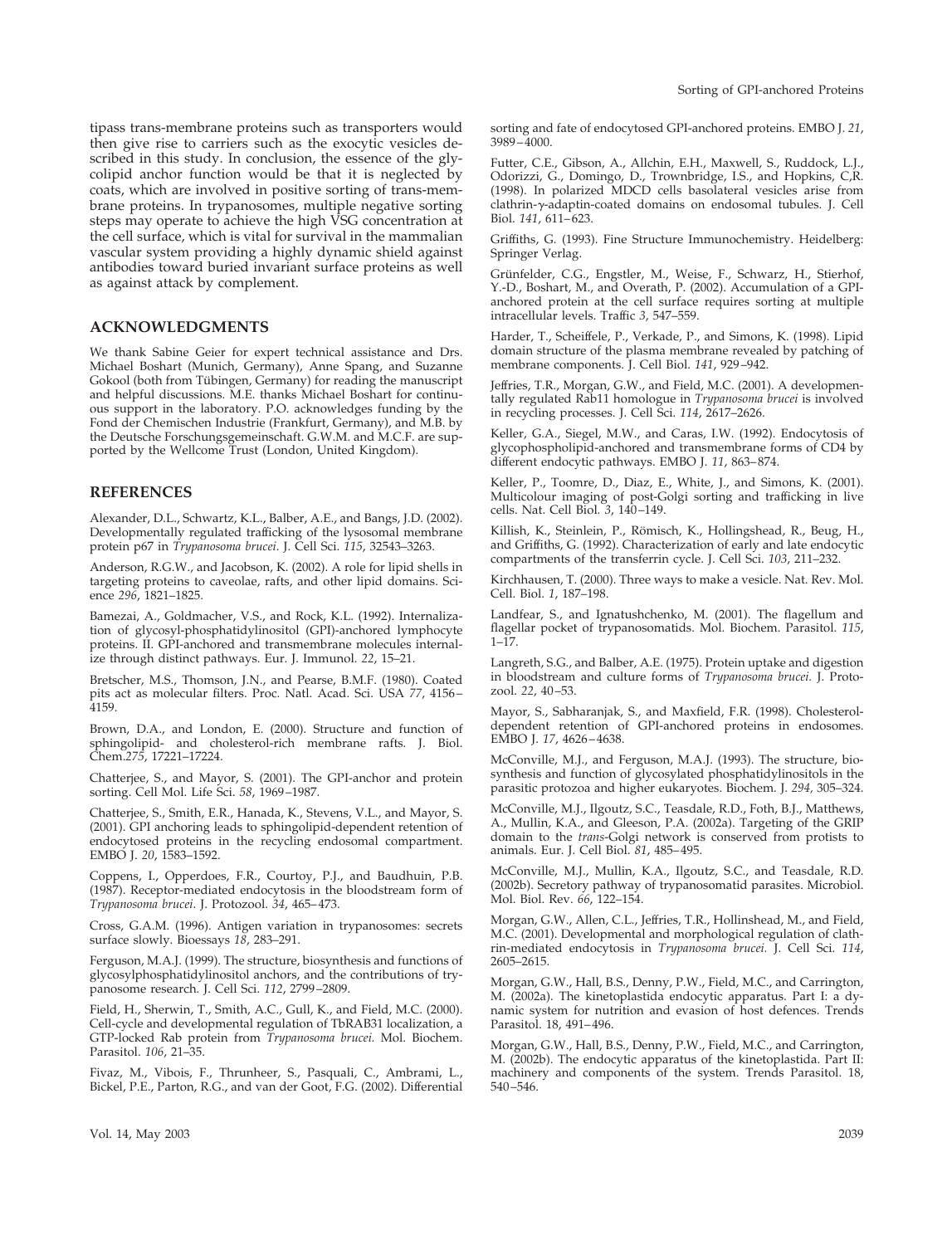tipass trans-membrane proteins such as transporters would then give rise to carriers such as the exocytic vesicles described in this study. In conclusion, the essence of the glycolipid anchor function would be that it is neglected by coats, which are involved in positive sorting of trans-membrane proteins. In trypanosomes, multiple negative sorting steps may operate to achieve the high VSG concentration at the cell surface, which is vital for survival in the mammalian vascular system providing a highly dynamic shield against antibodies toward buried invariant surface proteins as well as against attack by complement.

# **ACKNOWLEDGMENTS**

We thank Sabine Geier for expert technical assistance and Drs. Michael Boshart (Munich, Germany), Anne Spang, and Suzanne Gokool (both from Tübingen, Germany) for reading the manuscript and helpful discussions. M.E. thanks Michael Boshart for continuous support in the laboratory. P.O. acknowledges funding by the Fond der Chemischen Industrie (Frankfurt, Germany), and M.B. by the Deutsche Forschungsgemeinschaft. G.W.M. and M.C.F. are supported by the Wellcome Trust (London, United Kingdom).

#### **REFERENCES**

Alexander, D.L., Schwartz, K.L., Balber, A.E., and Bangs, J.D. (2002). Developmentally regulated trafficking of the lysosomal membrane protein p67 in *Trypanosoma brucei*. J. Cell Sci. *115*, 32543–3263.

Anderson, R.G.W., and Jacobson, K. (2002). A role for lipid shells in targeting proteins to caveolae, rafts, and other lipid domains. Science *296*, 1821–1825.

Bamezai, A., Goldmacher, V.S., and Rock, K.L. (1992). Internalization of glycosyl-phosphatidylinositol (GPI)-anchored lymphocyte proteins. II. GPI-anchored and transmembrane molecules internalize through distinct pathways. Eur. J. Immunol. *22*, 15–21.

Bretscher, M.S., Thomson, J.N., and Pearse, B.M.F. (1980). Coated pits act as molecular filters. Proc. Natl. Acad. Sci. USA *77*, 4156– 4159.

Brown, D.A., and London, E. (2000). Structure and function of sphingolipid- and cholesterol-rich membrane rafts. J. Biol. Chem.*275*, 17221–17224.

Chatterjee, S., and Mayor, S. (2001). The GPI-anchor and protein sorting. Cell Mol. Life Sci. *58*, 1969–1987.

Chatterjee, S., Smith, E.R., Hanada, K., Stevens, V.L., and Mayor, S. (2001). GPI anchoring leads to sphingolipid-dependent retention of endocytosed proteins in the recycling endosomal compartment. EMBO J. *20*, 1583–1592.

Coppens, I., Opperdoes, F.R., Courtoy, P.J., and Baudhuin, P.B. (1987). Receptor-mediated endocytosis in the bloodstream form of *Trypanosoma brucei*. J. Protozool. *34*, 465–473.

Cross, G.A.M. (1996). Antigen variation in trypanosomes: secrets surface slowly. Bioessays *18*, 283–291.

Ferguson, M.A.J. (1999). The structure, biosynthesis and functions of glycosylphosphatidylinositol anchors, and the contributions of trypanosome research. J. Cell Sci. *112*, 2799–2809.

Field, H., Sherwin, T., Smith, A.C., Gull, K., and Field, M.C. (2000). Cell-cycle and developmental regulation of TbRAB31 localization, a GTP-locked Rab protein from *Trypanosoma brucei.* Mol. Biochem. Parasitol. *106*, 21–35.

Fivaz, M., Vibois, F., Thrunheer, S., Pasquali, C., Ambrami, L., Bickel, P.E., Parton, R.G., and van der Goot, F.G. (2002). Differential sorting and fate of endocytosed GPI-anchored proteins. EMBO J. *21*, 3989–4000.

Futter, C.E., Gibson, A., Allchin, E.H., Maxwell, S., Ruddock, L.J., Odorizzi, G., Domingo, D., Trownbridge, I.S., and Hopkins, C,R. (1998). In polarized MDCD cells basolateral vesicles arise from clathrin- $\gamma$ -adaptin-coated domains on endosomal tubules. J. Cell Biol. *141*, 611–623.

Griffiths, G. (1993). Fine Structure Immunochemistry. Heidelberg: Springer Verlag.

Grünfelder, C.G., Engstler, M., Weise, F., Schwarz, H., Stierhof, Y.-D., Boshart, M., and Overath, P. (2002). Accumulation of a GPIanchored protein at the cell surface requires sorting at multiple intracellular levels. Traffic *3*, 547–559.

Harder, T., Scheiffele, P., Verkade, P., and Simons, K. (1998). Lipid domain structure of the plasma membrane revealed by patching of membrane components. J. Cell Biol. *141*, 929–942.

Jeffries, T.R., Morgan, G.W., and Field, M.C. (2001). A developmentally regulated Rab11 homologue in *Trypanosoma brucei* is involved in recycling processes. J. Cell Sci. *114*, 2617–2626.

Keller, G.A., Siegel, M.W., and Caras, I.W. (1992). Endocytosis of glycophospholipid-anchored and transmembrane forms of CD4 by different endocytic pathways. EMBO J. *11*, 863–874.

Keller, P., Toomre, D., Diaz, E., White, J., and Simons, K. (2001). Multicolour imaging of post-Golgi sorting and trafficking in live cells. Nat. Cell Biol*. 3*, 140–149.

Killish, K., Steinlein, P., Römisch, K., Hollingshead, R., Beug, H., and Griffiths, G. (1992). Characterization of early and late endocytic compartments of the transferrin cycle. J. Cell Sci. *103*, 211–232.

Kirchhausen, T. (2000). Three ways to make a vesicle. Nat. Rev. Mol. Cell. Biol. *1*, 187–198.

Landfear, S., and Ignatushchenko, M. (2001). The flagellum and flagellar pocket of trypanosomatids. Mol. Biochem. Parasitol. *115*, 1–17.

Langreth, S.G., and Balber, A.E. (1975). Protein uptake and digestion in bloodstream and culture forms of *Trypanosoma brucei.* J. Protozool. *22*, 40–53.

Mayor, S., Sabharanjak, S., and Maxfield, F.R. (1998). Cholesteroldependent retention of GPI-anchored proteins in endosomes. EMBO J. *17*, 4626–4638.

McConville, M.J., and Ferguson, M.A.J. (1993). The structure, biosynthesis and function of glycosylated phosphatidylinositols in the parasitic protozoa and higher eukaryotes. Biochem. J. *294,* 305–324.

McConville, M.J., Ilgoutz, S.C., Teasdale, R.D., Foth, B.J., Matthews, A., Mullin, K.A., and Gleeson, P.A. (2002a). Targeting of the GRIP domain to the *trans*-Golgi network is conserved from protists to animals. Eur. J. Cell Biol. *81*, 485–495.

McConville, M.J., Mullin, K.A., Ilgoutz, S.C., and Teasdale, R.D. (2002b). Secretory pathway of trypanosomatid parasites. Microbiol. Mol. Biol. Rev. *66*, 122–154.

Morgan, G.W., Allen, C.L., Jeffries, T.R., Hollinshead, M., and Field, M.C. (2001). Developmental and morphological regulation of clathrin-mediated endocytosis in *Trypanosoma brucei.* J. Cell Sci. *114*, 2605–2615.

Morgan, G.W., Hall, B.S., Denny, P.W., Field, M.C., and Carrington, M. (2002a). The kinetoplastida endocytic apparatus. Part I: a dynamic system for nutrition and evasion of host defences. Trends Parasitol. 18, 491–496.

Morgan, G.W., Hall, B.S., Denny, P.W., Field, M.C., and Carrington, M. (2002b). The endocytic apparatus of the kinetoplastida. Part II: machinery and components of the system. Trends Parasitol. 18, 540–546.